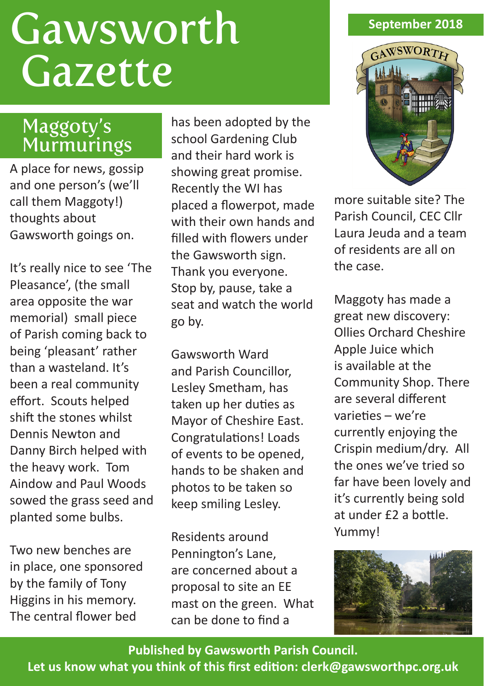# **Gawsworth** Gazette

# Maggoty's Murmurings

A place for news, gossip and one person's (we'll call them Maggoty!) thoughts about Gawsworth goings on.

It's really nice to see 'The Pleasance', (the small area opposite the war memorial) small piece of Parish coming back to being 'pleasant' rather than a wasteland. It's been a real community effort. Scouts helped shift the stones whilst Dennis Newton and Danny Birch helped with the heavy work. Tom Aindow and Paul Woods sowed the grass seed and planted some bulbs.

Two new benches are in place, one sponsored by the family of Tony Higgins in his memory. The central flower bed

has been adopted by the school Gardening Club and their hard work is showing great promise. Recently the WI has placed a flowerpot, made with their own hands and filled with flowers under the Gawsworth sign. Thank you everyone. Stop by, pause, take a seat and watch the world go by.

Gawsworth Ward and Parish Councillor, Lesley Smetham, has taken up her duties as Mayor of Cheshire East. Congratulations! Loads of events to be opened, hands to be shaken and photos to be taken so keep smiling Lesley.

Residents around Pennington's Lane, are concerned about a proposal to site an EE mast on the green. What can be done to find a

## **September 2018**



more suitable site? The Parish Council, CEC Cllr Laura Jeuda and a team of residents are all on the case.

Maggoty has made a great new discovery: Ollies Orchard Cheshire Apple Juice which is available at the Community Shop. There are several different varieties – we're currently enjoying the Crispin medium/dry. All the ones we've tried so far have been lovely and it's currently being sold at under £2 a bottle. Yummy!



**Published by Gawsworth Parish Council. Let us know what you think of this first edition: clerk@gawsworthpc.org.uk**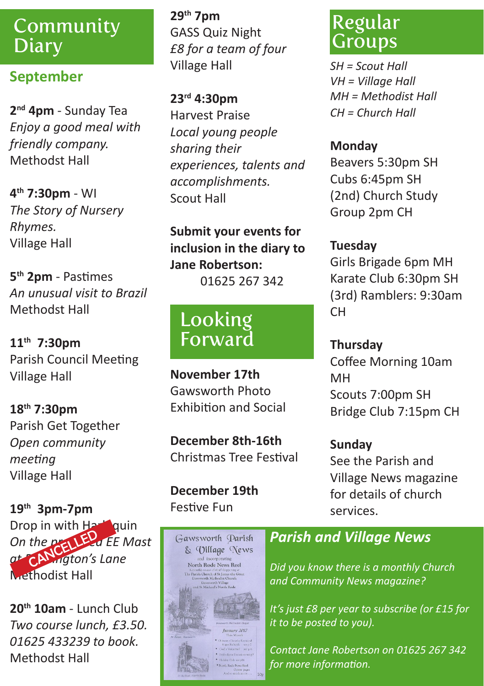## Community **Diary**

## **September**

**2nd 4pm** - Sunday Tea *Enjoy a good meal with friendly company.* Methodst Hall

**4th 7:30pm** - WI *The Story of Nursery Rhymes.* Village Hall

**5th 2pm** - Pastimes *An unusual visit to Brazil* Methodst Hall

**11th 7:30pm** Parish Council Meeting Village Hall

**18th 7:30pm**  Parish Get Together *Open community meeting* Village Hall

**19th 3pm-7pm** Drop in with Harlequin *On the property ED of EE Mast at Pennington's Lane* Methodist Hall

**20th 10am** - Lunch Club *Two course lunch, £3.50. 01625 433239 to book.* Methodst Hall

**29th 7pm** GASS Quiz Night *£8 for a team of four* Village Hall

**23rd 4:30pm** Harvest Praise *Local young people sharing their experiences, talents and accomplishments.* Scout Hall

**Submit your events for inclusion in the diary to Jane Robertson:**

01625 267 342

# Looking Forward

**November 17th**  Gawsworth Photo Exhibition and Social

**December 8th-16th** Christmas Tree Festival

**December 19th** Festive Fun



## Regular Groups

*SH = Scout Hall VH = Village Hall MH = Methodist Hall CH = Church Hall*

#### **Monday**

Beavers 5:30pm SH Cubs 6:45pm SH (2nd) Church Study Group 2pm CH

#### **Tuesday**

Girls Brigade 6pm MH Karate Club 6:30pm SH (3rd) Ramblers: 9:30am CH

**Thursday** Coffee Morning 10am MH Scouts 7:00pm SH Bridge Club 7:15pm CH

## **Sunday** See the Parish and Village News magazine for details of church

## *Parish and Village News*

services.

*Did you know there is a monthly Church and Community News magazine?*

*It's just £8 per year to subscribe (or £15 for it to be posted to you).*

*Contact Jane Robertson on 01625 267 342 for more information.*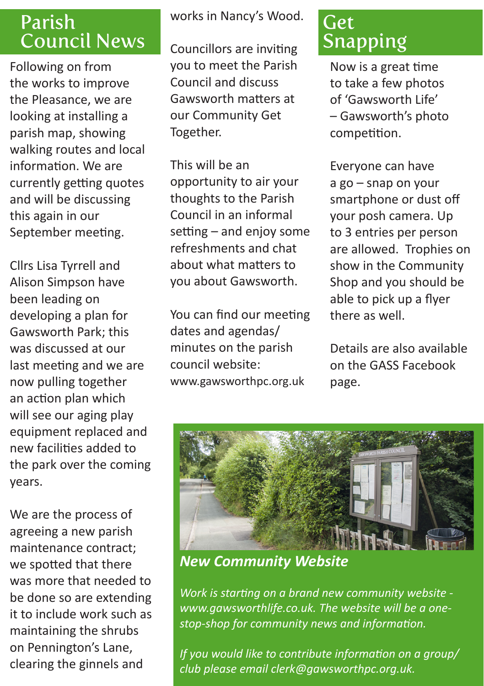## Parish Council News

Following on from the works to improve the Pleasance, we are looking at installing a parish map, showing walking routes and local information. We are currently getting quotes and will be discussing this again in our September meeting.

Cllrs Lisa Tyrrell and Alison Simpson have been leading on developing a plan for Gawsworth Park; this was discussed at our last meeting and we are now pulling together an action plan which will see our aging play equipment replaced and new facilities added to the park over the coming years.

We are the process of agreeing a new parish maintenance contract; we spotted that there was more that needed to be done so are extending it to include work such as maintaining the shrubs on Pennington's Lane, clearing the ginnels and

works in Nancy's Wood.

Councillors are inviting you to meet the Parish Council and discuss Gawsworth matters at our Community Get Together.

This will be an opportunity to air your thoughts to the Parish Council in an informal setting – and enjoy some refreshments and chat about what matters to you about Gawsworth.

You can find our meeting dates and agendas/ minutes on the parish council website: www.gawsworthpc.org.uk

## Get Snapping

Now is a great time to take a few photos of 'Gawsworth Life' – Gawsworth's photo competition.

Everyone can have a go – snap on your smartphone or dust off your posh camera. Up to 3 entries per person are allowed. Trophies on show in the Community Shop and you should be able to pick up a flyer there as well.

Details are also available on the GASS Facebook page.



*New Community Website*

*Work is starting on a brand new community website www.gawsworthlife.co.uk. The website will be a onestop-shop for community news and information.*

*If you would like to contribute information on a group/ club please email clerk@gawsworthpc.org.uk.*